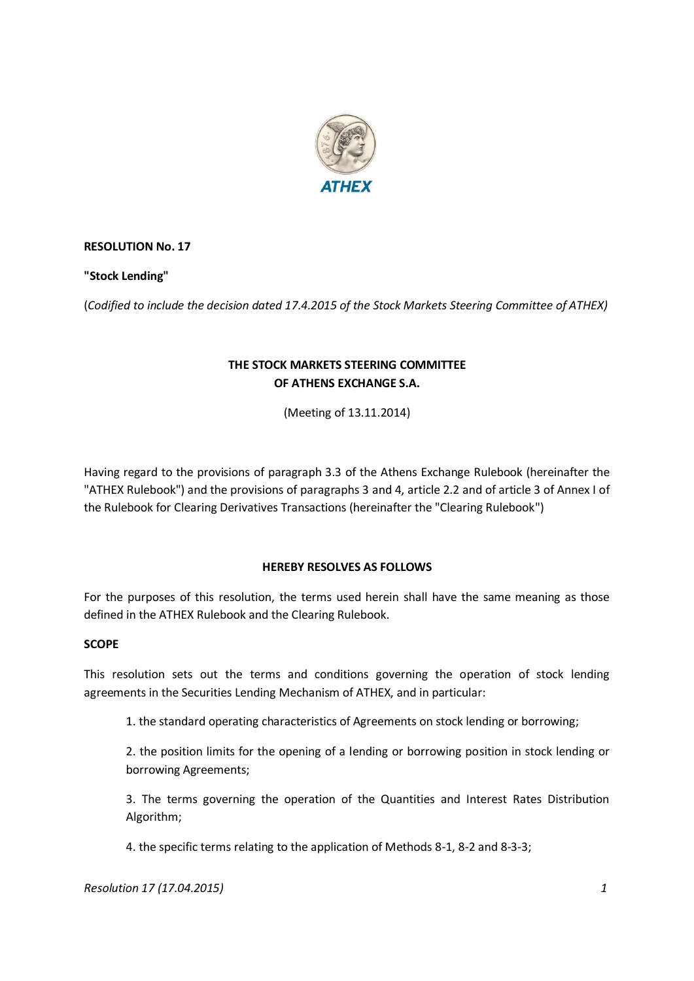

# **RESOLUTION No. 17**

### **"Stock Lending"**

(*Codified to include the decision dated 17.4.2015 of the Stock Markets Steering Committee of ATHEX)*

# **THE STOCK MARKETS STEERING COMMITTEE OF ATHENS EXCHANGE S.A.**

(Meeting of 13.11.2014)

Having regard to the provisions of paragraph 3.3 of the Athens Exchange Rulebook (hereinafter the "ATHEX Rulebook") and the provisions of paragraphs 3 and 4, article 2.2 and of article 3 of Annex I of the Rulebook for Clearing Derivatives Transactions (hereinafter the "Clearing Rulebook")

#### **HEREBY RESOLVES AS FOLLOWS**

For the purposes of this resolution, the terms used herein shall have the same meaning as those defined in the ATHEX Rulebook and the Clearing Rulebook.

#### **SCOPE**

This resolution sets out the terms and conditions governing the operation of stock lending agreements in the Securities Lending Mechanism of ATHEX, and in particular:

1. the standard operating characteristics of Agreements on stock lending or borrowing;

2. the position limits for the opening of a lending or borrowing position in stock lending or borrowing Agreements;

3. The terms governing the operation of the Quantities and Interest Rates Distribution Algorithm;

4. the specific terms relating to the application of Methods 8-1, 8-2 and 8-3-3;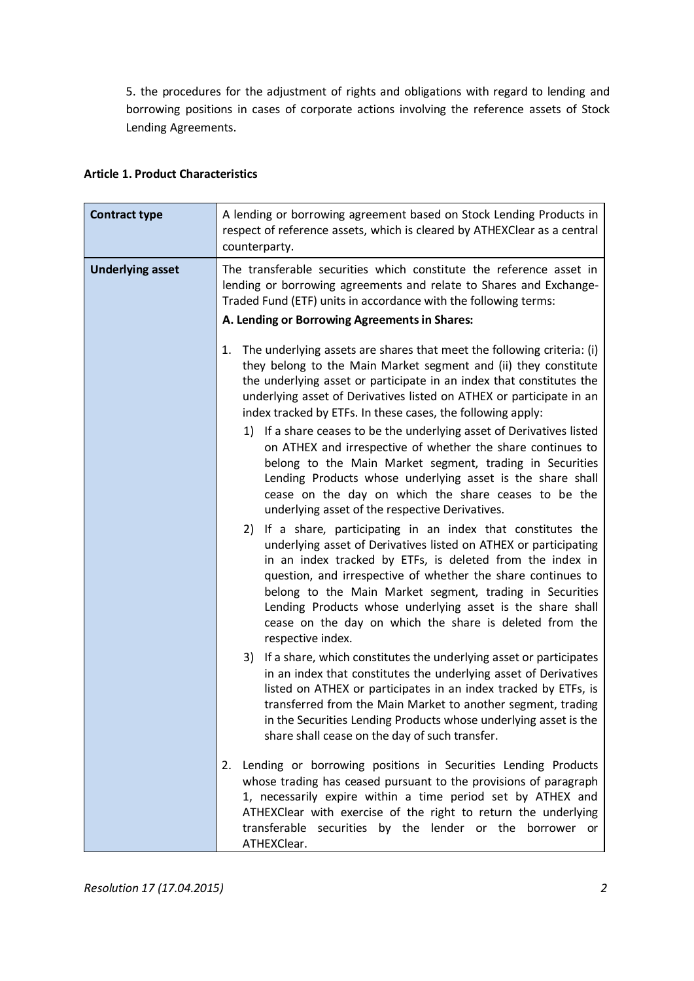5. the procedures for the adjustment of rights and obligations with regard to lending and borrowing positions in cases of corporate actions involving the reference assets of Stock Lending Agreements.

| <b>Contract type</b>    | A lending or borrowing agreement based on Stock Lending Products in<br>respect of reference assets, which is cleared by ATHEXClear as a central<br>counterparty.                                                                                                                                                                                                                                                                                                         |
|-------------------------|--------------------------------------------------------------------------------------------------------------------------------------------------------------------------------------------------------------------------------------------------------------------------------------------------------------------------------------------------------------------------------------------------------------------------------------------------------------------------|
| <b>Underlying asset</b> | The transferable securities which constitute the reference asset in<br>lending or borrowing agreements and relate to Shares and Exchange-<br>Traded Fund (ETF) units in accordance with the following terms:                                                                                                                                                                                                                                                             |
|                         | A. Lending or Borrowing Agreements in Shares:                                                                                                                                                                                                                                                                                                                                                                                                                            |
|                         | The underlying assets are shares that meet the following criteria: (i)<br>1.<br>they belong to the Main Market segment and (ii) they constitute<br>the underlying asset or participate in an index that constitutes the<br>underlying asset of Derivatives listed on ATHEX or participate in an<br>index tracked by ETFs. In these cases, the following apply:                                                                                                           |
|                         | 1) If a share ceases to be the underlying asset of Derivatives listed<br>on ATHEX and irrespective of whether the share continues to<br>belong to the Main Market segment, trading in Securities<br>Lending Products whose underlying asset is the share shall<br>cease on the day on which the share ceases to be the<br>underlying asset of the respective Derivatives.                                                                                                |
|                         | 2) If a share, participating in an index that constitutes the<br>underlying asset of Derivatives listed on ATHEX or participating<br>in an index tracked by ETFs, is deleted from the index in<br>question, and irrespective of whether the share continues to<br>belong to the Main Market segment, trading in Securities<br>Lending Products whose underlying asset is the share shall<br>cease on the day on which the share is deleted from the<br>respective index. |
|                         | If a share, which constitutes the underlying asset or participates<br>3)<br>in an index that constitutes the underlying asset of Derivatives<br>listed on ATHEX or participates in an index tracked by ETFs, is<br>transferred from the Main Market to another segment, trading<br>in the Securities Lending Products whose underlying asset is the<br>share shall cease on the day of such transfer.                                                                    |
|                         | Lending or borrowing positions in Securities Lending Products<br>2.<br>whose trading has ceased pursuant to the provisions of paragraph<br>1, necessarily expire within a time period set by ATHEX and<br>ATHEXClear with exercise of the right to return the underlying<br>transferable securities by the lender or the borrower or<br>ATHEXClear.                                                                                                                      |

### **Article 1. Product Characteristics**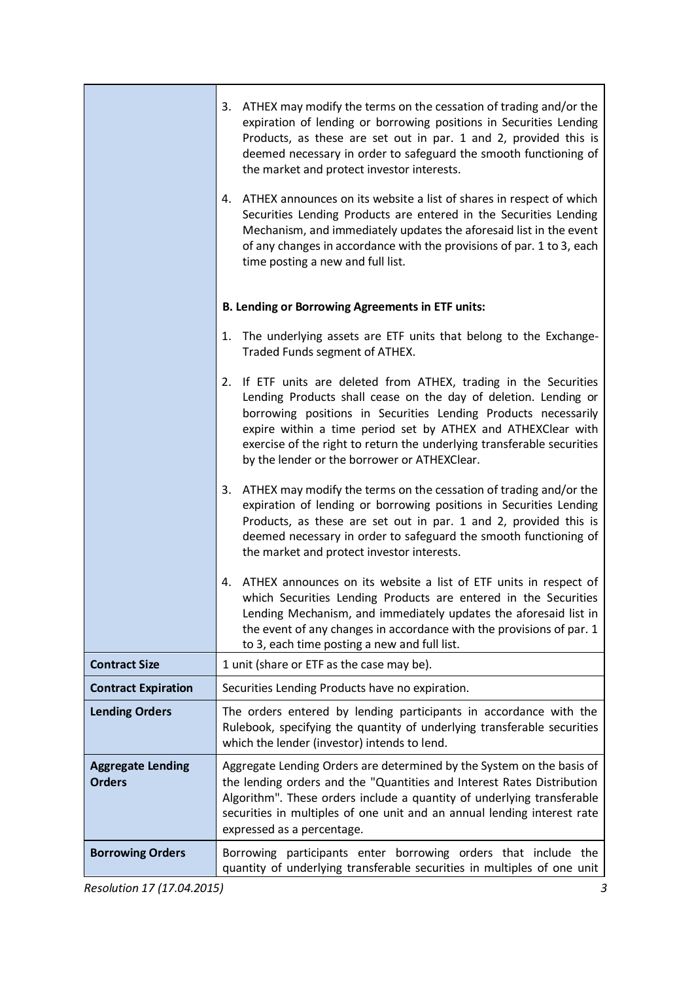|                                           | 3. ATHEX may modify the terms on the cessation of trading and/or the<br>expiration of lending or borrowing positions in Securities Lending<br>Products, as these are set out in par. 1 and 2, provided this is<br>deemed necessary in order to safeguard the smooth functioning of<br>the market and protect investor interests.                                                                 |
|-------------------------------------------|--------------------------------------------------------------------------------------------------------------------------------------------------------------------------------------------------------------------------------------------------------------------------------------------------------------------------------------------------------------------------------------------------|
|                                           | 4. ATHEX announces on its website a list of shares in respect of which<br>Securities Lending Products are entered in the Securities Lending<br>Mechanism, and immediately updates the aforesaid list in the event<br>of any changes in accordance with the provisions of par. 1 to 3, each<br>time posting a new and full list.                                                                  |
|                                           | <b>B. Lending or Borrowing Agreements in ETF units:</b>                                                                                                                                                                                                                                                                                                                                          |
|                                           | 1. The underlying assets are ETF units that belong to the Exchange-<br>Traded Funds segment of ATHEX.                                                                                                                                                                                                                                                                                            |
|                                           | 2. If ETF units are deleted from ATHEX, trading in the Securities<br>Lending Products shall cease on the day of deletion. Lending or<br>borrowing positions in Securities Lending Products necessarily<br>expire within a time period set by ATHEX and ATHEXClear with<br>exercise of the right to return the underlying transferable securities<br>by the lender or the borrower or ATHEXClear. |
|                                           | ATHEX may modify the terms on the cessation of trading and/or the<br>3.<br>expiration of lending or borrowing positions in Securities Lending<br>Products, as these are set out in par. 1 and 2, provided this is<br>deemed necessary in order to safeguard the smooth functioning of<br>the market and protect investor interests.                                                              |
|                                           | 4. ATHEX announces on its website a list of ETF units in respect of<br>which Securities Lending Products are entered in the Securities<br>Lending Mechanism, and immediately updates the aforesaid list in<br>the event of any changes in accordance with the provisions of par. 1<br>to 3, each time posting a new and full list.                                                               |
| <b>Contract Size</b>                      | 1 unit (share or ETF as the case may be).                                                                                                                                                                                                                                                                                                                                                        |
| <b>Contract Expiration</b>                | Securities Lending Products have no expiration.                                                                                                                                                                                                                                                                                                                                                  |
| <b>Lending Orders</b>                     | The orders entered by lending participants in accordance with the<br>Rulebook, specifying the quantity of underlying transferable securities<br>which the lender (investor) intends to lend.                                                                                                                                                                                                     |
| <b>Aggregate Lending</b><br><b>Orders</b> | Aggregate Lending Orders are determined by the System on the basis of<br>the lending orders and the "Quantities and Interest Rates Distribution<br>Algorithm". These orders include a quantity of underlying transferable<br>securities in multiples of one unit and an annual lending interest rate<br>expressed as a percentage.                                                               |
| <b>Borrowing Orders</b>                   | Borrowing participants enter borrowing orders that include the<br>quantity of underlying transferable securities in multiples of one unit                                                                                                                                                                                                                                                        |

*Resolution 17 (17.04.2015) 3*

٦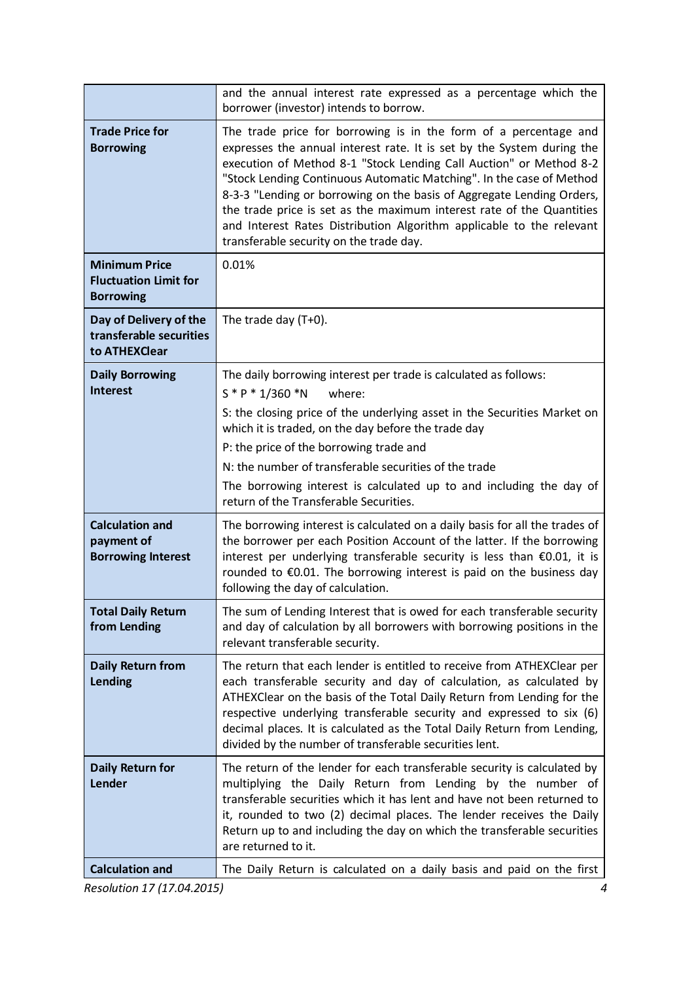|                                                                          | and the annual interest rate expressed as a percentage which the<br>borrower (investor) intends to borrow.                                                                                                                                                                                                                                                                                                                                                                                                                                                    |
|--------------------------------------------------------------------------|---------------------------------------------------------------------------------------------------------------------------------------------------------------------------------------------------------------------------------------------------------------------------------------------------------------------------------------------------------------------------------------------------------------------------------------------------------------------------------------------------------------------------------------------------------------|
| <b>Trade Price for</b><br><b>Borrowing</b>                               | The trade price for borrowing is in the form of a percentage and<br>expresses the annual interest rate. It is set by the System during the<br>execution of Method 8-1 "Stock Lending Call Auction" or Method 8-2<br>"Stock Lending Continuous Automatic Matching". In the case of Method<br>8-3-3 "Lending or borrowing on the basis of Aggregate Lending Orders,<br>the trade price is set as the maximum interest rate of the Quantities<br>and Interest Rates Distribution Algorithm applicable to the relevant<br>transferable security on the trade day. |
| <b>Minimum Price</b><br><b>Fluctuation Limit for</b><br><b>Borrowing</b> | 0.01%                                                                                                                                                                                                                                                                                                                                                                                                                                                                                                                                                         |
| Day of Delivery of the<br>transferable securities<br>to ATHEXClear       | The trade day $(T+0)$ .                                                                                                                                                                                                                                                                                                                                                                                                                                                                                                                                       |
| <b>Daily Borrowing</b>                                                   | The daily borrowing interest per trade is calculated as follows:                                                                                                                                                                                                                                                                                                                                                                                                                                                                                              |
| <b>Interest</b>                                                          | $S * P * 1/360 * N$<br>where:                                                                                                                                                                                                                                                                                                                                                                                                                                                                                                                                 |
|                                                                          | S: the closing price of the underlying asset in the Securities Market on<br>which it is traded, on the day before the trade day                                                                                                                                                                                                                                                                                                                                                                                                                               |
|                                                                          | P: the price of the borrowing trade and                                                                                                                                                                                                                                                                                                                                                                                                                                                                                                                       |
|                                                                          | N: the number of transferable securities of the trade                                                                                                                                                                                                                                                                                                                                                                                                                                                                                                         |
|                                                                          | The borrowing interest is calculated up to and including the day of<br>return of the Transferable Securities.                                                                                                                                                                                                                                                                                                                                                                                                                                                 |
| <b>Calculation and</b><br>payment of<br><b>Borrowing Interest</b>        | The borrowing interest is calculated on a daily basis for all the trades of<br>the borrower per each Position Account of the latter. If the borrowing<br>interest per underlying transferable security is less than €0.01, it is<br>rounded to €0.01. The borrowing interest is paid on the business day<br>following the day of calculation.                                                                                                                                                                                                                 |
| <b>Total Daily Return</b><br>from Lending                                | The sum of Lending Interest that is owed for each transferable security<br>and day of calculation by all borrowers with borrowing positions in the<br>relevant transferable security.                                                                                                                                                                                                                                                                                                                                                                         |
| Daily Return from<br><b>Lending</b>                                      | The return that each lender is entitled to receive from ATHEXClear per<br>each transferable security and day of calculation, as calculated by<br>ATHEXClear on the basis of the Total Daily Return from Lending for the<br>respective underlying transferable security and expressed to six (6)<br>decimal places. It is calculated as the Total Daily Return from Lending,<br>divided by the number of transferable securities lent.                                                                                                                         |
| Daily Return for<br><b>Lender</b>                                        | The return of the lender for each transferable security is calculated by<br>multiplying the Daily Return from Lending by the number of<br>transferable securities which it has lent and have not been returned to<br>it, rounded to two (2) decimal places. The lender receives the Daily<br>Return up to and including the day on which the transferable securities<br>are returned to it.                                                                                                                                                                   |
| <b>Calculation and</b>                                                   | The Daily Return is calculated on a daily basis and paid on the first                                                                                                                                                                                                                                                                                                                                                                                                                                                                                         |

*Resolution 17 (17.04.2015) 4*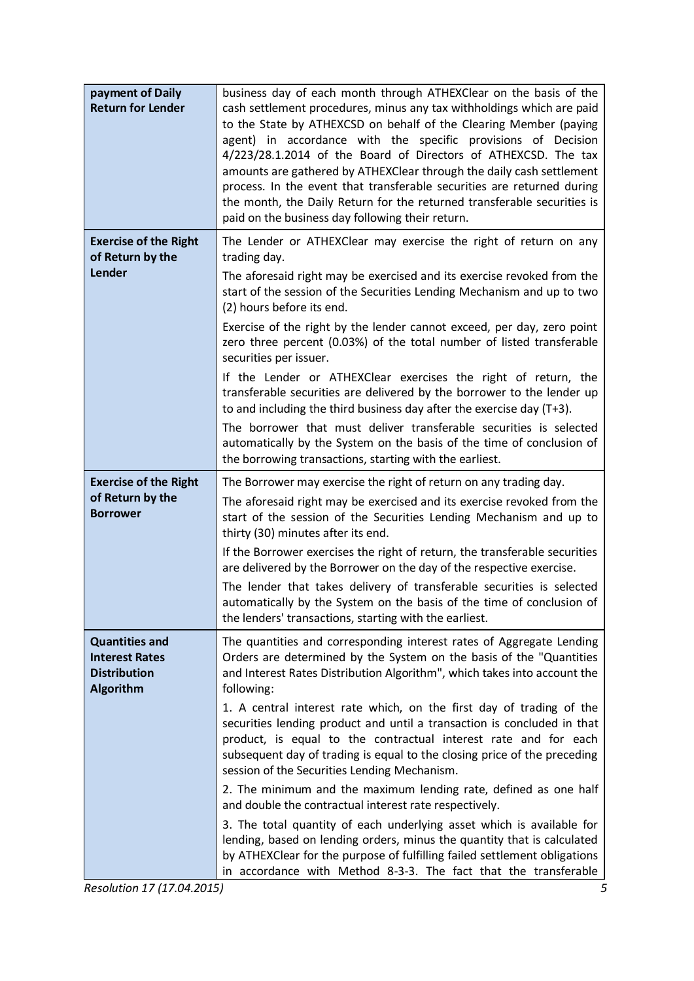| payment of Daily<br><b>Return for Lender</b>                                              | business day of each month through ATHEXClear on the basis of the<br>cash settlement procedures, minus any tax withholdings which are paid<br>to the State by ATHEXCSD on behalf of the Clearing Member (paying<br>agent) in accordance with the specific provisions of Decision<br>4/223/28.1.2014 of the Board of Directors of ATHEXCSD. The tax<br>amounts are gathered by ATHEXClear through the daily cash settlement<br>process. In the event that transferable securities are returned during<br>the month, the Daily Return for the returned transferable securities is<br>paid on the business day following their return.                                                                                                                                                                                                                                                                                                                                                                                       |
|-------------------------------------------------------------------------------------------|---------------------------------------------------------------------------------------------------------------------------------------------------------------------------------------------------------------------------------------------------------------------------------------------------------------------------------------------------------------------------------------------------------------------------------------------------------------------------------------------------------------------------------------------------------------------------------------------------------------------------------------------------------------------------------------------------------------------------------------------------------------------------------------------------------------------------------------------------------------------------------------------------------------------------------------------------------------------------------------------------------------------------|
| <b>Exercise of the Right</b><br>of Return by the<br>Lender                                | The Lender or ATHEXClear may exercise the right of return on any<br>trading day.<br>The aforesaid right may be exercised and its exercise revoked from the<br>start of the session of the Securities Lending Mechanism and up to two<br>(2) hours before its end.<br>Exercise of the right by the lender cannot exceed, per day, zero point<br>zero three percent (0.03%) of the total number of listed transferable<br>securities per issuer.<br>If the Lender or ATHEXClear exercises the right of return, the<br>transferable securities are delivered by the borrower to the lender up<br>to and including the third business day after the exercise day (T+3).<br>The borrower that must deliver transferable securities is selected<br>automatically by the System on the basis of the time of conclusion of<br>the borrowing transactions, starting with the earliest.                                                                                                                                             |
| <b>Exercise of the Right</b><br>of Return by the<br><b>Borrower</b>                       | The Borrower may exercise the right of return on any trading day.<br>The aforesaid right may be exercised and its exercise revoked from the<br>start of the session of the Securities Lending Mechanism and up to<br>thirty (30) minutes after its end.<br>If the Borrower exercises the right of return, the transferable securities<br>are delivered by the Borrower on the day of the respective exercise.<br>The lender that takes delivery of transferable securities is selected<br>automatically by the System on the basis of the time of conclusion of<br>the lenders' transactions, starting with the earliest.                                                                                                                                                                                                                                                                                                                                                                                                 |
| <b>Quantities and</b><br><b>Interest Rates</b><br><b>Distribution</b><br><b>Algorithm</b> | The quantities and corresponding interest rates of Aggregate Lending<br>Orders are determined by the System on the basis of the "Quantities<br>and Interest Rates Distribution Algorithm", which takes into account the<br>following:<br>1. A central interest rate which, on the first day of trading of the<br>securities lending product and until a transaction is concluded in that<br>product, is equal to the contractual interest rate and for each<br>subsequent day of trading is equal to the closing price of the preceding<br>session of the Securities Lending Mechanism.<br>2. The minimum and the maximum lending rate, defined as one half<br>and double the contractual interest rate respectively.<br>3. The total quantity of each underlying asset which is available for<br>lending, based on lending orders, minus the quantity that is calculated<br>by ATHEXClear for the purpose of fulfilling failed settlement obligations<br>in accordance with Method 8-3-3. The fact that the transferable |

*Resolution 17 (17.04.2015) 5*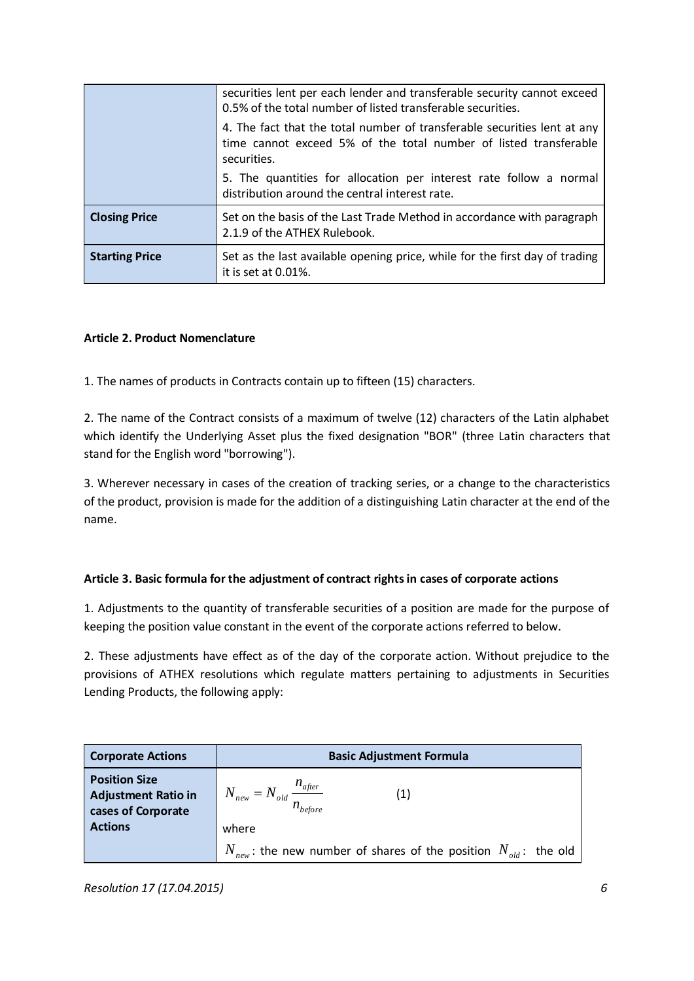|                       | securities lent per each lender and transferable security cannot exceed<br>0.5% of the total number of listed transferable securities.                      |
|-----------------------|-------------------------------------------------------------------------------------------------------------------------------------------------------------|
|                       | 4. The fact that the total number of transferable securities lent at any<br>time cannot exceed 5% of the total number of listed transferable<br>securities. |
|                       | 5. The quantities for allocation per interest rate follow a normal<br>distribution around the central interest rate.                                        |
| <b>Closing Price</b>  | Set on the basis of the Last Trade Method in accordance with paragraph<br>2.1.9 of the ATHEX Rulebook.                                                      |
| <b>Starting Price</b> | Set as the last available opening price, while for the first day of trading<br>it is set at 0.01%.                                                          |

# **Article 2. Product Nomenclature**

1. The names of products in Contracts contain up to fifteen (15) characters.

2. The name of the Contract consists of a maximum of twelve (12) characters of the Latin alphabet which identify the Underlying Asset plus the fixed designation "BOR" (three Latin characters that stand for the English word "borrowing").

3. Wherever necessary in cases of the creation of tracking series, or a change to the characteristics of the product, provision is made for the addition of a distinguishing Latin character at the end of the name.

# **Article 3. Basic formula for the adjustment of contract rights in cases of corporate actions**

1. Adjustments to the quantity of transferable securities of a position are made for the purpose of keeping the position value constant in the event of the corporate actions referred to below.

2. These adjustments have effect as of the day of the corporate action. Without prejudice to the provisions of ATHEX resolutions which regulate matters pertaining to adjustments in Securities Lending Products, the following apply:

| <b>Corporate Actions</b>                                                 | <b>Basic Adjustment Formula</b>                                                           |
|--------------------------------------------------------------------------|-------------------------------------------------------------------------------------------|
| <b>Position Size</b><br><b>Adjustment Ratio in</b><br>cases of Corporate | $N_{\text{new}} = N_{\text{old}} \frac{n_{\text{after}}}{n_{\text{out}}}$<br>$n_{before}$ |
| <b>Actions</b>                                                           | where                                                                                     |
|                                                                          | $N_{new}$ : the new number of shares of the position $N_{old}$ : the old                  |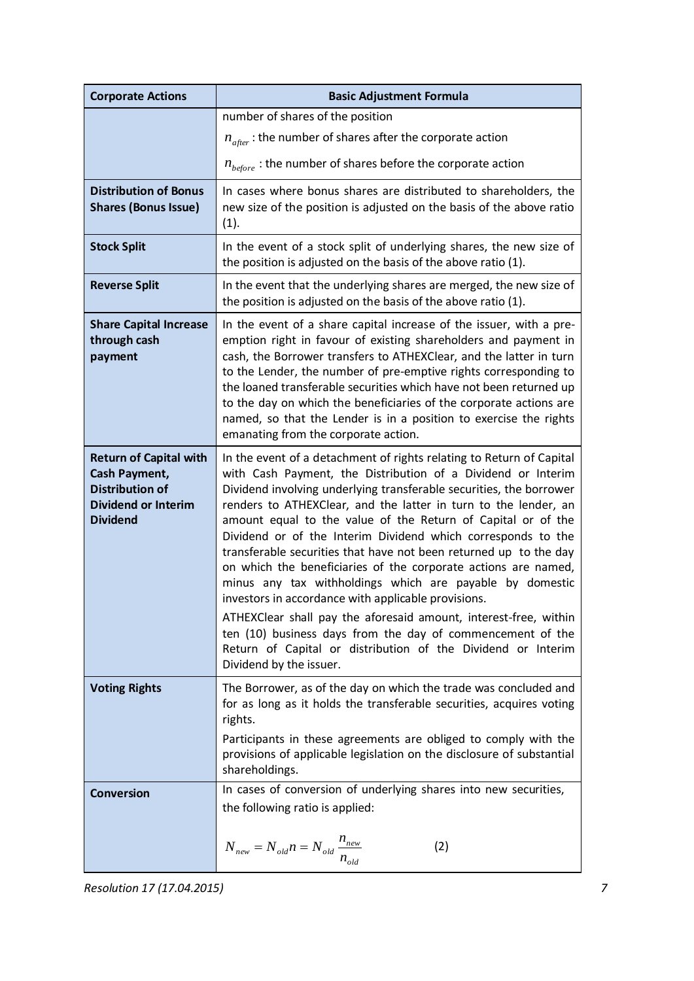| <b>Corporate Actions</b>                                                                                                  | <b>Basic Adjustment Formula</b>                                                                                                                                                                                                                                                                                                                                                                                                                                                                                                                                                                                                                                                                                                                                                                                                                                                                       |
|---------------------------------------------------------------------------------------------------------------------------|-------------------------------------------------------------------------------------------------------------------------------------------------------------------------------------------------------------------------------------------------------------------------------------------------------------------------------------------------------------------------------------------------------------------------------------------------------------------------------------------------------------------------------------------------------------------------------------------------------------------------------------------------------------------------------------------------------------------------------------------------------------------------------------------------------------------------------------------------------------------------------------------------------|
|                                                                                                                           | number of shares of the position                                                                                                                                                                                                                                                                                                                                                                                                                                                                                                                                                                                                                                                                                                                                                                                                                                                                      |
|                                                                                                                           | $n_{after}$ : the number of shares after the corporate action                                                                                                                                                                                                                                                                                                                                                                                                                                                                                                                                                                                                                                                                                                                                                                                                                                         |
|                                                                                                                           | $n_{before}$ : the number of shares before the corporate action                                                                                                                                                                                                                                                                                                                                                                                                                                                                                                                                                                                                                                                                                                                                                                                                                                       |
| <b>Distribution of Bonus</b><br><b>Shares (Bonus Issue)</b>                                                               | In cases where bonus shares are distributed to shareholders, the<br>new size of the position is adjusted on the basis of the above ratio<br>(1).                                                                                                                                                                                                                                                                                                                                                                                                                                                                                                                                                                                                                                                                                                                                                      |
| <b>Stock Split</b>                                                                                                        | In the event of a stock split of underlying shares, the new size of<br>the position is adjusted on the basis of the above ratio (1).                                                                                                                                                                                                                                                                                                                                                                                                                                                                                                                                                                                                                                                                                                                                                                  |
| <b>Reverse Split</b>                                                                                                      | In the event that the underlying shares are merged, the new size of<br>the position is adjusted on the basis of the above ratio (1).                                                                                                                                                                                                                                                                                                                                                                                                                                                                                                                                                                                                                                                                                                                                                                  |
| <b>Share Capital Increase</b><br>through cash<br>payment                                                                  | In the event of a share capital increase of the issuer, with a pre-<br>emption right in favour of existing shareholders and payment in<br>cash, the Borrower transfers to ATHEXClear, and the latter in turn<br>to the Lender, the number of pre-emptive rights corresponding to<br>the loaned transferable securities which have not been returned up<br>to the day on which the beneficiaries of the corporate actions are<br>named, so that the Lender is in a position to exercise the rights<br>emanating from the corporate action.                                                                                                                                                                                                                                                                                                                                                             |
| <b>Return of Capital with</b><br>Cash Payment,<br><b>Distribution of</b><br><b>Dividend or Interim</b><br><b>Dividend</b> | In the event of a detachment of rights relating to Return of Capital<br>with Cash Payment, the Distribution of a Dividend or Interim<br>Dividend involving underlying transferable securities, the borrower<br>renders to ATHEXClear, and the latter in turn to the lender, an<br>amount equal to the value of the Return of Capital or of the<br>Dividend or of the Interim Dividend which corresponds to the<br>transferable securities that have not been returned up to the day<br>on which the beneficiaries of the corporate actions are named,<br>minus any tax withholdings which are payable by domestic<br>investors in accordance with applicable provisions.<br>ATHEXClear shall pay the aforesaid amount, interest-free, within<br>ten (10) business days from the day of commencement of the<br>Return of Capital or distribution of the Dividend or Interim<br>Dividend by the issuer. |
| <b>Voting Rights</b>                                                                                                      | The Borrower, as of the day on which the trade was concluded and<br>for as long as it holds the transferable securities, acquires voting<br>rights.<br>Participants in these agreements are obliged to comply with the<br>provisions of applicable legislation on the disclosure of substantial<br>shareholdings.                                                                                                                                                                                                                                                                                                                                                                                                                                                                                                                                                                                     |
| <b>Conversion</b>                                                                                                         | In cases of conversion of underlying shares into new securities,<br>the following ratio is applied:<br>$N_{new} = N_{old} n = N_{old} \frac{n_{new}}{n_{old}}$<br>(2)                                                                                                                                                                                                                                                                                                                                                                                                                                                                                                                                                                                                                                                                                                                                 |